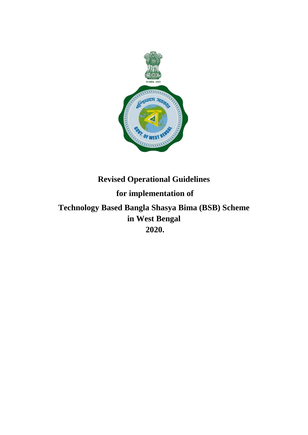

# **Revised Operational Guidelines for implementation of Technology Based Bangla Shasya Bima (BSB) Scheme in West Bengal**

**2020.**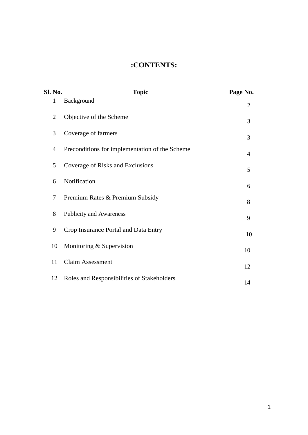# **:CONTENTS:**

| Sl. No.        | <b>Topic</b>                                   | Page No.       |
|----------------|------------------------------------------------|----------------|
| $\mathbf{1}$   | Background                                     | $\overline{2}$ |
| $\overline{2}$ | Objective of the Scheme                        | 3              |
| 3              | Coverage of farmers                            | 3              |
| $\overline{4}$ | Preconditions for implementation of the Scheme | $\overline{4}$ |
| 5              | Coverage of Risks and Exclusions               | 5              |
| 6              | Notification                                   | 6              |
| 7              | Premium Rates & Premium Subsidy                | 8              |
| 8              | <b>Publicity and Awareness</b>                 | 9              |
| 9              | Crop Insurance Portal and Data Entry           | 10             |
| 10             | Monitoring $&$ Supervision                     | 10             |
| 11             | <b>Claim Assessment</b>                        | 12             |
| 12             | Roles and Responsibilities of Stakeholders     | 14             |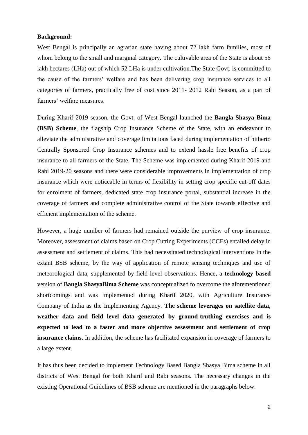#### **Background:**

West Bengal is principally an agrarian state having about 72 lakh farm families, most of whom belong to the small and marginal category. The cultivable area of the State is about 56 lakh hectares (LHa) out of which 52 LHa is under cultivation.The State Govt. is committed to the cause of the farmers" welfare and has been delivering crop insurance services to all categories of farmers, practically free of cost since 2011- 2012 Rabi Season, as a part of farmers' welfare measures.

During Kharif 2019 season, the Govt. of West Bengal launched the **Bangla Shasya Bima (BSB) Scheme**, the flagship Crop Insurance Scheme of the State, with an endeavour to alleviate the administrative and coverage limitations faced during implementation of hitherto Centrally Sponsored Crop Insurance schemes and to extend hassle free benefits of crop insurance to all farmers of the State. The Scheme was implemented during Kharif 2019 and Rabi 2019-20 seasons and there were considerable improvements in implementation of crop insurance which were noticeable in terms of flexibility in setting crop specific cut-off dates for enrolment of farmers, dedicated state crop insurance portal, substantial increase in the coverage of farmers and complete administrative control of the State towards effective and efficient implementation of the scheme.

However, a huge number of farmers had remained outside the purview of crop insurance. Moreover, assessment of claims based on Crop Cutting Experiments (CCEs) entailed delay in assessment and settlement of claims. This had necessitated technological interventions in the extant BSB scheme, by the way of application of remote sensing techniques and use of meteorological data, supplemented by field level observations. Hence, a **technology based** version of **Bangla ShasyaBima Scheme** was conceptualized to overcome the aforementioned shortcomings and was implemented during Kharif 2020, with Agriculture Insurance Company of India as the Implementing Agency. **The scheme leverages on satellite data, weather data and field level data generated by ground-truthing exercises and is expected to lead to a faster and more objective assessment and settlement of crop insurance claims.** In addition, the scheme has facilitated expansion in coverage of farmers to a large extent.

It has thus been decided to implement Technology Based Bangla Shasya Bima scheme in all districts of West Bengal for both Kharif and Rabi seasons. The necessary changes in the existing Operational Guidelines of BSB scheme are mentioned in the paragraphs below.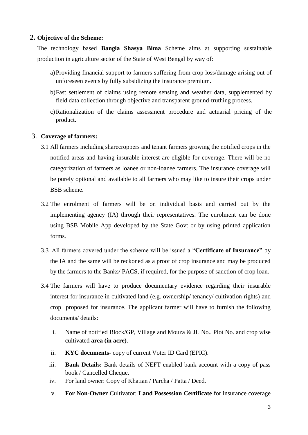# **2. Objective of the Scheme:**

The technology based **Bangla Shasya Bima** Scheme aims at supporting sustainable production in agriculture sector of the State of West Bengal by way of:

- a)Providing financial support to farmers suffering from crop loss/damage arising out of unforeseen events by fully subsidizing the insurance premium.
- b)Fast settlement of claims using remote sensing and weather data, supplemented by field data collection through objective and transparent ground-truthing process.
- c)Rationalization of the claims assessment procedure and actuarial pricing of the product.

# 3. **Coverage of farmers:**

- 3.1 All farmers including sharecroppers and tenant farmers growing the notified crops in the notified areas and having insurable interest are eligible for coverage. There will be no categorization of farmers as loanee or non-loanee farmers. The insurance coverage will be purely optional and available to all farmers who may like to insure their crops under BSB scheme.
- 3.2 The enrolment of farmers will be on individual basis and carried out by the implementing agency (IA) through their representatives. The enrolment can be done using BSB Mobile App developed by the State Govt or by using printed application forms.
- 3.3 All farmers covered under the scheme will be issued a "**Certificate of Insurance"** by the IA and the same will be reckoned as a proof of crop insurance and may be produced by the farmers to the Banks/ PACS, if required, for the purpose of sanction of crop loan.
- 3.4 The farmers will have to produce documentary evidence regarding their insurable interest for insurance in cultivated land (e.g. ownership/ tenancy/ cultivation rights) and crop proposed for insurance. The applicant farmer will have to furnish the following documents/ details:
	- i. Name of notified Block/GP, Village and Mouza & JL No., Plot No. and crop wise cultivated **area (in acre)**.
	- ii. **KYC documents** copy of current Voter ID Card (EPIC).
	- iii. **Bank Details:** Bank details of NEFT enabled bank account with a copy of pass book / Cancelled Cheque.
	- iv. For land owner: Copy of Khatian / Parcha / Patta / Deed.
	- v. **For Non-Owner** Cultivator: **Land Possession Certificate** for insurance coverage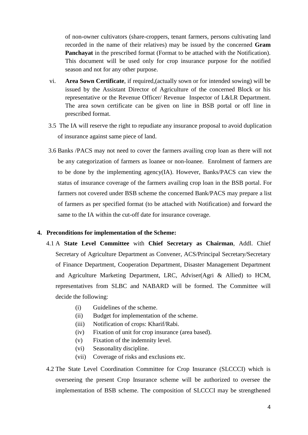of non-owner cultivators (share-croppers, tenant farmers, persons cultivating land recorded in the name of their relatives) may be issued by the concerned **Gram Panchayat** in the prescribed format (Format to be attached with the Notification). This document will be used only for crop insurance purpose for the notified season and not for any other purpose.

- vi. **Area Sown Certificate**, if required,(actually sown or for intended sowing) will be issued by the Assistant Director of Agriculture of the concerned Block or his representative or the Revenue Officer/ Revenue Inspector of L&LR Department. The area sown certificate can be given on line in BSB portal or off line in prescribed format.
- 3.5 The IA will reserve the right to repudiate any insurance proposal to avoid duplication of insurance against same piece of land.
- 3.6 Banks /PACS may not need to cover the farmers availing crop loan as there will not be any categorization of farmers as loanee or non-loanee. Enrolment of farmers are to be done by the implementing agency(IA). However, Banks/PACS can view the status of insurance coverage of the farmers availing crop loan in the BSB portal. For farmers not covered under BSB scheme the concerned Bank/PACS may prepare a list of farmers as per specified format (to be attached with Notification) and forward the same to the IA within the cut-off date for insurance coverage.

#### **4. Preconditions for implementation of the Scheme:**

- 4.1 A **State Level Committee** with **Chief Secretary as Chairman**, Addl. Chief Secretary of Agriculture Department as Convener, ACS/Principal Secretary/Secretary of Finance Department, Cooperation Department, Disaster Management Department and Agriculture Marketing Department, LRC, Adviser(Agri & Allied) to HCM, representatives from SLBC and NABARD will be formed. The Committee will decide the following:
	- (i) Guidelines of the scheme.
	- (ii) Budget for implementation of the scheme.
	- (iii) Notification of crops: Kharif/Rabi.
	- (iv) Fixation of unit for crop insurance (area based).
	- (v) Fixation of the indemnity level.
	- (vi) Seasonality discipline.
	- (vii) Coverage of risks and exclusions etc.
- 4.2 The State Level Coordination Committee for Crop Insurance (SLCCCI) which is overseeing the present Crop Insurance scheme will be authorized to oversee the implementation of BSB scheme. The composition of SLCCCI may be strengthened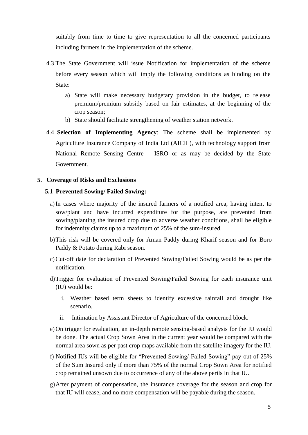suitably from time to time to give representation to all the concerned participants including farmers in the implementation of the scheme.

- 4.3 The State Government will issue Notification for implementation of the scheme before every season which will imply the following conditions as binding on the State:
	- a) State will make necessary budgetary provision in the budget, to release premium/premium subsidy based on fair estimates, at the beginning of the crop season;
	- b) State should facilitate strengthening of weather station network.
- 4.4 **Selection of Implementing Agency**: The scheme shall be implemented by Agriculture Insurance Company of India Ltd (AICIL), with technology support from National Remote Sensing Centre – ISRO or as may be decided by the State Government.

#### **5. Coverage of Risks and Exclusions**

#### **5.1 Prevented Sowing/ Failed Sowing:**

- a)In cases where majority of the insured farmers of a notified area, having intent to sow/plant and have incurred expenditure for the purpose, are prevented from sowing/planting the insured crop due to adverse weather conditions, shall be eligible for indemnity claims up to a maximum of 25% of the sum-insured.
- b)This risk will be covered only for Aman Paddy during Kharif season and for Boro Paddy & Potato during Rabi season.
- c)Cut-off date for declaration of Prevented Sowing/Failed Sowing would be as per the notification.
- d)Trigger for evaluation of Prevented Sowing/Failed Sowing for each insurance unit (IU) would be:
	- i. Weather based term sheets to identify excessive rainfall and drought like scenario.
	- ii. Intimation by Assistant Director of Agriculture of the concerned block.
- e) On trigger for evaluation, an in-depth remote sensing-based analysis for the IU would be done. The actual Crop Sown Area in the current year would be compared with the normal area sown as per past crop maps available from the satellite imagery for the IU.
- f) Notified IUs will be eligible for "Prevented Sowing/ Failed Sowing" pay-out of 25% of the Sum Insured only if more than 75% of the normal Crop Sown Area for notified crop remained unsown due to occurrence of any of the above perils in that IU.
- g)After payment of compensation, the insurance coverage for the season and crop for that IU will cease, and no more compensation will be payable during the season.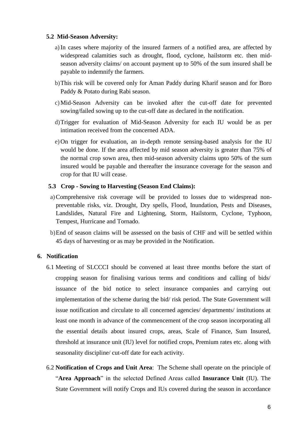#### **5.2 Mid-Season Adversity:**

- a)In cases where majority of the insured farmers of a notified area, are affected by widespread calamities such as drought, flood, cyclone, hailstorm etc. then midseason adversity claims/ on account payment up to 50% of the sum insured shall be payable to indemnify the farmers.
- b)This risk will be covered only for Aman Paddy during Kharif season and for Boro Paddy & Potato during Rabi season.
- c)Mid-Season Adversity can be invoked after the cut-off date for prevented sowing/failed sowing up to the cut-off date as declared in the notification.
- d)Trigger for evaluation of Mid-Season Adversity for each IU would be as per intimation received from the concerned ADA.
- e) On trigger for evaluation, an in-depth remote sensing-based analysis for the IU would be done. If the area affected by mid season adversity is greater than 75% of the normal crop sown area, then mid-season adversity claims upto 50% of the sum insured would be payable and thereafter the insurance coverage for the season and crop for that IU will cease.

# **5.3 Crop - Sowing to Harvesting (Season End Claims):**

- a)Comprehensive risk coverage will be provided to losses due to widespread nonpreventable risks, viz. Drought, Dry spells, Flood, Inundation, Pests and Diseases, Landslides, Natural Fire and Lightening, Storm, Hailstorm, Cyclone, Typhoon, Tempest, Hurricane and Tornado.
- b)End of season claims will be assessed on the basis of CHF and will be settled within 45 days of harvesting or as may be provided in the Notification.

#### **6. Notification**

- 6.1 Meeting of SLCCCI should be convened at least three months before the start of cropping season for finalising various terms and conditions and calling of bids/ issuance of the bid notice to select insurance companies and carrying out implementation of the scheme during the bid/ risk period. The State Government will issue notification and circulate to all concerned agencies/ departments/ institutions at least one month in advance of the commencement of the crop season incorporating all the essential details about insured crops, areas, Scale of Finance, Sum Insured, threshold at insurance unit (IU) level for notified crops, Premium rates etc. along with seasonality discipline/ cut-off date for each activity.
- 6.2 **Notification of Crops and Unit Area**: The Scheme shall operate on the principle of "**Area Approach**" in the selected Defined Areas called **Insurance Unit** (IU). The State Government will notify Crops and IUs covered during the season in accordance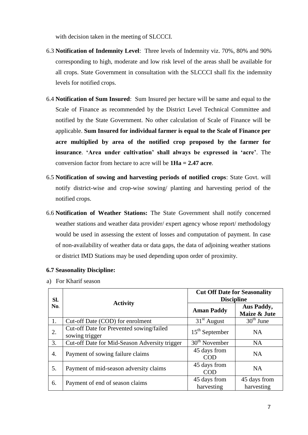with decision taken in the meeting of SLCCCI.

- 6.3 **Notification of Indemnity Level**: Three levels of Indemnity viz. 70%, 80% and 90% corresponding to high, moderate and low risk level of the areas shall be available for all crops. State Government in consultation with the SLCCCI shall fix the indemnity levels for notified crops.
- 6.4 **Notification of Sum Insured**: Sum Insured per hectare will be same and equal to the Scale of Finance as recommended by the District Level Technical Committee and notified by the State Government. No other calculation of Scale of Finance will be applicable. **Sum Insured for individual farmer is equal to the Scale of Finance per acre multiplied by area of the notified crop proposed by the farmer for insurance**. **'Area under cultivation' shall always be expressed in 'acre'**. The conversion factor from hectare to acre will be **1Ha = 2.47 acre**.
- 6.5 **Notification of sowing and harvesting periods of notified crops**: State Govt. will notify district-wise and crop-wise sowing/ planting and harvesting period of the notified crops.
- 6.6 **Notification of Weather Stations:** The State Government shall notify concerned weather stations and weather data provider/ expert agency whose report/ methodology would be used in assessing the extent of losses and computation of payment. In case of non-availability of weather data or data gaps, the data of adjoining weather stations or district IMD Stations may be used depending upon order of proximity.

| SI.<br>No. | <b>Activity</b>                                            | <b>Cut Off Date for Seasonality</b><br><b>Discipline</b> |                            |
|------------|------------------------------------------------------------|----------------------------------------------------------|----------------------------|
|            |                                                            | <b>Aman Paddy</b>                                        | Aus Paddy,<br>Maize & Jute |
| 1.         | Cut-off Date (COD) for enrolment                           | $31st$ August                                            | $30th$ June                |
| 2.         | Cut-off Date for Prevented sowing/failed<br>sowing trigger | $15th$ September                                         | <b>NA</b>                  |
| 3.         | Cut-off Date for Mid-Season Adversity trigger              | $30th$ November                                          | <b>NA</b>                  |
| 4.         | Payment of sowing failure claims                           | 45 days from<br>COD                                      | <b>NA</b>                  |
| 5.         | Payment of mid-season adversity claims                     | 45 days from<br><b>COD</b>                               | NA                         |
| 6.         | Payment of end of season claims                            | 45 days from<br>harvesting                               | 45 days from<br>harvesting |

- **6.7 Seasonality Discipline:**
- a) For Kharif season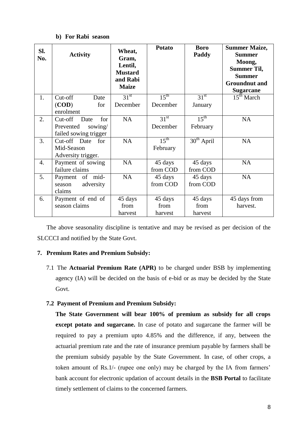#### **b) For Rabi season**

| SI.<br>No. | <b>Activity</b>                                                         | Wheat,<br>Gram,<br>Lentil,<br><b>Mustard</b><br>and Rabi<br><b>Maize</b> | <b>Potato</b>                | <b>Boro</b><br>Paddy         | <b>Summer Maize,</b><br><b>Summer</b><br>Moong,<br><b>Summer Til,</b><br><b>Summer</b><br><b>Groundnut</b> and<br><b>Sugarcane</b> |
|------------|-------------------------------------------------------------------------|--------------------------------------------------------------------------|------------------------------|------------------------------|------------------------------------------------------------------------------------------------------------------------------------|
| 1.         | $Cut-off$<br>Date<br>(COD)<br>for<br>enrolment                          | $31^{st}$<br>December                                                    | $15^{\text{th}}$<br>December | 31 <sup>st</sup><br>January  | 15 <sup>th</sup> March                                                                                                             |
| 2.         | Cut-off<br>Date<br>for<br>sowing/<br>Prevented<br>failed sowing trigger | <b>NA</b>                                                                | 31 <sup>st</sup><br>December | $15^{\text{th}}$<br>February | <b>NA</b>                                                                                                                          |
| 3.         | Cut-off Date<br>for<br>Mid-Season<br>Adversity trigger.                 | <b>NA</b>                                                                | $15^{\text{th}}$<br>February | $30th$ April                 | <b>NA</b>                                                                                                                          |
| 4.         | Payment of sowing<br>failure claims                                     | <b>NA</b>                                                                | 45 days<br>from COD          | 45 days<br>from COD          | <b>NA</b>                                                                                                                          |
| 5.         | Payment of<br>mid-<br>adversity<br>season<br>claims                     | <b>NA</b>                                                                | 45 days<br>from COD          | 45 days<br>from COD          | <b>NA</b>                                                                                                                          |
| 6.         | Payment of end of<br>season claims                                      | 45 days<br>from<br>harvest                                               | 45 days<br>from<br>harvest   | 45 days<br>from<br>harvest   | 45 days from<br>harvest.                                                                                                           |

The above seasonality discipline is tentative and may be revised as per decision of the SLCCCI and notified by the State Govt.

#### **7. Premium Rates and Premium Subsidy:**

7.1 The **Actuarial Premium Rate (APR)** to be charged under BSB by implementing agency (IA) will be decided on the basis of e-bid or as may be decided by the State Govt.

#### **7.2 Payment of Premium and Premium Subsidy:**

**The State Government will bear 100% of premium as subsidy for all crops except potato and sugarcane.** In case of potato and sugarcane the farmer will be required to pay a premium upto 4.85% and the difference, if any, between the actuarial premium rate and the rate of insurance premium payable by farmers shall be the premium subsidy payable by the State Government. In case, of other crops, a token amount of Rs.1/- (rupee one only) may be charged by the IA from farmers" bank account for electronic updation of account details in the **BSB Portal** to facilitate timely settlement of claims to the concerned farmers.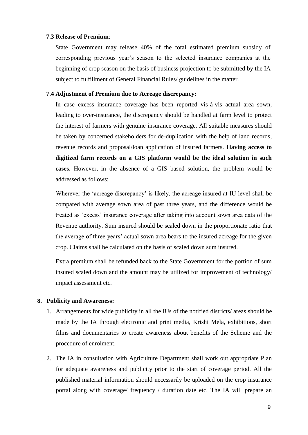#### **7.3 Release of Premium**:

State Government may release 40% of the total estimated premium subsidy of corresponding previous year"s season to the selected insurance companies at the beginning of crop season on the basis of business projection to be submitted by the IA subject to fulfillment of General Financial Rules/ guidelines in the matter.

#### **7.4 Adjustment of Premium due to Acreage discrepancy:**

In case excess insurance coverage has been reported vis-à-vis actual area sown, leading to over-insurance, the discrepancy should be handled at farm level to protect the interest of farmers with genuine insurance coverage. All suitable measures should be taken by concerned stakeholders for de-duplication with the help of land records, revenue records and proposal/loan application of insured farmers. **Having access to digitized farm records on a GIS platform would be the ideal solution in such cases**. However, in the absence of a GIS based solution, the problem would be addressed as follows:

Wherever the 'acreage discrepancy' is likely, the acreage insured at IU level shall be compared with average sown area of past three years, and the difference would be treated as "excess" insurance coverage after taking into account sown area data of the Revenue authority. Sum insured should be scaled down in the proportionate ratio that the average of three years" actual sown area bears to the insured acreage for the given crop. Claims shall be calculated on the basis of scaled down sum insured.

Extra premium shall be refunded back to the State Government for the portion of sum insured scaled down and the amount may be utilized for improvement of technology/ impact assessment etc.

#### **8. Publicity and Awareness:**

- 1. Arrangements for wide publicity in all the IUs of the notified districts/ areas should be made by the IA through electronic and print media, Krishi Mela, exhibitions, short films and documentaries to create awareness about benefits of the Scheme and the procedure of enrolment.
- 2. The IA in consultation with Agriculture Department shall work out appropriate Plan for adequate awareness and publicity prior to the start of coverage period. All the published material information should necessarily be uploaded on the crop insurance portal along with coverage/ frequency / duration date etc. The IA will prepare an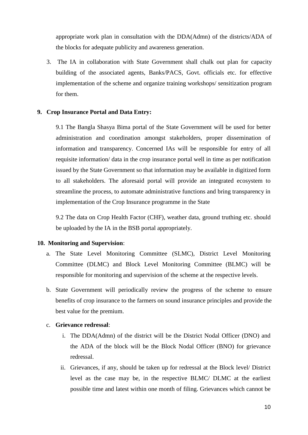appropriate work plan in consultation with the DDA(Admn) of the districts/ADA of the blocks for adequate publicity and awareness generation.

3. The IA in collaboration with State Government shall chalk out plan for capacity building of the associated agents, Banks/PACS, Govt. officials etc. for effective implementation of the scheme and organize training workshops/ sensitization program for them.

#### **9. Crop Insurance Portal and Data Entry:**

9.1 The Bangla Shasya Bima portal of the State Government will be used for better administration and coordination amongst stakeholders, proper dissemination of information and transparency. Concerned IAs will be responsible for entry of all requisite information/ data in the crop insurance portal well in time as per notification issued by the State Government so that information may be available in digitized form to all stakeholders. The aforesaid portal will provide an integrated ecosystem to streamline the process, to automate administrative functions and bring transparency in implementation of the Crop Insurance programme in the State

9.2 The data on Crop Health Factor (CHF), weather data, ground truthing etc. should be uploaded by the IA in the BSB portal appropriately.

#### **10. Monitoring and Supervision**:

- a. The State Level Monitoring Committee (SLMC), District Level Monitoring Committee (DLMC) and Block Level Monitoring Committee (BLMC) will be responsible for monitoring and supervision of the scheme at the respective levels.
- b. State Government will periodically review the progress of the scheme to ensure benefits of crop insurance to the farmers on sound insurance principles and provide the best value for the premium.
- c. **Grievance redressal**:
	- i. The DDA(Admn) of the district will be the District Nodal Officer (DNO) and the ADA of the block will be the Block Nodal Officer (BNO) for grievance redressal.
	- ii. Grievances, if any, should be taken up for redressal at the Block level/ District level as the case may be, in the respective BLMC/ DLMC at the earliest possible time and latest within one month of filing. Grievances which cannot be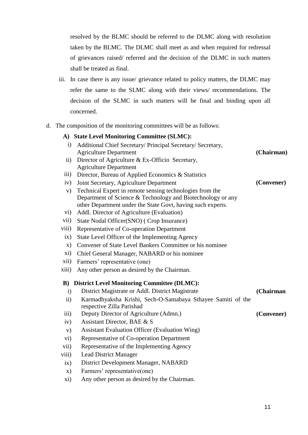resolved by the BLMC should be referred to the DLMC along with resolution taken by the BLMC. The DLMC shall meet as and when required for redressal of grievances raised/ referred and the decision of the DLMC in such matters shall be treated as final.

- iii. In case there is any issue/ grievance related to policy matters, the DLMC may refer the same to the SLMC along with their views/ recommendations. The decision of the SLMC in such matters will be final and binding upon all concerned.
- d. The composition of the monitoring committees will be as follows:

|                     | A) State Level Monitoring Committee (SLMC):                                              |            |
|---------------------|------------------------------------------------------------------------------------------|------------|
| $\mathbf{i}$        | Additional Chief Secretary/ Principal Secretary/ Secretary,                              |            |
|                     | <b>Agriculture Department</b>                                                            | (Chairman) |
| $\rm ii)$           | Director of Agriculture & Ex-Officio Secretary,                                          |            |
|                     | <b>Agriculture Department</b>                                                            |            |
| iii)                | Director, Bureau of Applied Economics & Statistics                                       |            |
| iv)                 | Joint Secretary, Agriculture Department                                                  | (Convener) |
| V)                  | Technical Expert in remote sensing technologies from the                                 |            |
|                     | Department of Science & Technology and Biotechnology or any                              |            |
|                     | other Department under the State Govt, having such experts.                              |            |
| $\mathbf{vi})$      | Addl. Director of Agriculture (Evaluation)                                               |            |
| vii)                | State Nodal Officer(SNO) (Crop Insurance)                                                |            |
| viii)               | Representative of Co-operation Department                                                |            |
| ix)                 | State Level Officer of the Implementing Agency                                           |            |
| $\mathbf{x})$       | Convener of State Level Bankers Committee or his nominee                                 |            |
| xi)                 | Chief General Manager, NABARD or his nominee                                             |            |
| xii)                | Farmers' representative (one)                                                            |            |
| xiii)               | Any other person as desired by the Chairman.                                             |            |
|                     | <b>B)</b> District Level Monitoring Committee (DLMC):                                    |            |
| $\mathbf{i}$        | District Magistrate or Addl. District Magistrate                                         | (Chairman  |
| $\ddot{\mathbf{i}}$ | Karmadhyaksha Krishi, Sech-O-Samabaya Sthayee Samiti of the<br>respective Zilla Parishad |            |
| iii)                | Deputy Director of Agriculture (Admn.)                                                   | (Convener) |
| iv)                 | Assistant Director, BAE & S                                                              |            |
| V)                  | <b>Assistant Evaluation Officer (Evaluation Wing)</b>                                    |            |
| $\mathbf{vi})$      | Representative of Co-operation Department                                                |            |
| vii)                | Representative of the Implementing Agency                                                |            |
| viii)               | <b>Lead District Manager</b>                                                             |            |
| ix)                 | District Development Manager, NABARD                                                     |            |
| $\mathbf{x})$       | Farmers' representative(one)                                                             |            |
| xi)                 | Any other person as desired by the Chairman.                                             |            |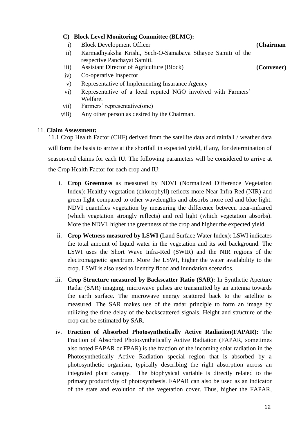# **C) Block Level Monitoring Committee (BLMC):**

- i) Block Development Officer **(Chairman**
- ii) Karmadhyaksha Krishi, Sech-O-Samabaya Sthayee Samiti of the respective Panchayat Samiti.
- iii) Assistant Director of Agriculture (Block) **(Convener)**
- iv) Co-operative Inspector
- v) Representative of Implementing Insurance Agency
- vi) Representative of a local reputed NGO involved with Farmers" Welfare.
- vii) Farmers" representative(one)
- viii) Any other person as desired by the Chairman.

#### 11. **Claim Assessment:**

11.1 Crop Health Factor (CHF) derived from the satellite data and rainfall / weather data will form the basis to arrive at the shortfall in expected yield, if any, for determination of season-end claims for each IU. The following parameters will be considered to arrive at the Crop Health Factor for each crop and IU:

- i. **Crop Greenness** as measured by NDVI (Normalized Difference Vegetation Index): Healthy vegetation (chlorophyll) reflects more Near-Infra-Red (NIR) and green light compared to other wavelengths and absorbs more red and blue light. NDVI quantifies vegetation by measuring the difference between near-infrared (which vegetation strongly reflects) and red light (which vegetation absorbs). More the NDVI, higher the greenness of the crop and higher the expected yield.
- ii. **Crop Wetness measured by LSWI** (Land Surface Water Index): LSWI indicates the total amount of liquid water in the vegetation and its soil background. The LSWI uses the Short Wave Infra-Red (SWIR) and the NIR regions of the electromagnetic spectrum. More the LSWI, higher the water availability to the crop. LSWI is also used to identify flood and inundation scenarios.
- iii. **Crop Structure measured by Backscatter Ratio (SAR):** In Synthetic Aperture Radar (SAR) imaging, microwave pulses are transmitted by an antenna towards the earth surface. The microwave energy scattered back to the satellite is measured. The SAR makes use of the radar principle to form an image by utilizing the time delay of the backscattered signals. Height and structure of the crop can be estimated by SAR.
- iv. **Fraction of Absorbed Photosynthetically Active Radiation(FAPAR):** The Fraction of Absorbed Photosynthetically Active Radiation (FAPAR, sometimes also noted FAPAR or FPAR) is the fraction of the incoming solar radiation in the Photosynthetically Active Radiation special region that is absorbed by a photosynthetic organism, typically describing the right absorption across an integrated plant canopy. The biophysical variable is directly related to the primary productivity of photosynthesis. FAPAR can also be used as an indicator of the state and evolution of the vegetation cover. Thus, higher the FAPAR,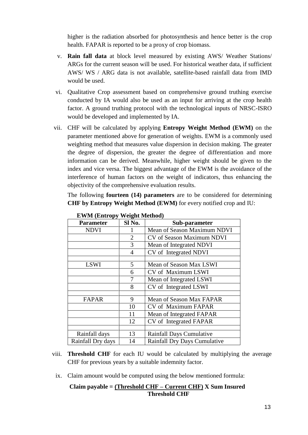higher is the radiation absorbed for photosynthesis and hence better is the crop health. FAPAR is reported to be a proxy of crop biomass.

- v. **Rain fall data** at block level measured by existing AWS/ Weather Stations/ ARGs for the current season will be used. For historical weather data, if sufficient AWS/ WS / ARG data is not available, satellite-based rainfall data from IMD would be used.
- vi. Qualitative Crop assessment based on comprehensive ground truthing exercise conducted by IA would also be used as an input for arriving at the crop health factor. A ground truthing protocol with the technological inputs of NRSC-ISRO would be developed and implemented by IA.
- vii. CHF will be calculated by applying **Entropy Weight Method (EWM)** on the parameter mentioned above for generation of weights. EWM is a commonly used weighting method that measures value dispersion in decision making. The greater the degree of dispersion, the greater the degree of differentiation and more information can be derived. Meanwhile, higher weight should be given to the index and vice versa. The biggest advantage of the EWM is the avoidance of the interference of human factors on the weight of indicators, thus enhancing the objectivity of the comprehensive evaluation results.

The following **fourteen (14) parameters** are to be considered for determining **CHF by Entropy Weight Method (EWM)** for every notified crop and IU:

| в ти ти тепитору тенди пленюци |        |                              |
|--------------------------------|--------|------------------------------|
| <b>Parameter</b>               | Sl No. | Sub-parameter                |
| <b>NDVI</b>                    |        | Mean of Season Maximum NDVI  |
|                                | 2      | CV of Season Maximum NDVI    |
|                                | 3      | Mean of Integrated NDVI      |
|                                | 4      | CV of Integrated NDVI        |
|                                |        |                              |
| <b>LSWI</b>                    | 5      | Mean of Season Max LSWI      |
|                                | 6      | CV of Maximum LSWI           |
|                                | 7      | Mean of Integrated LSWI      |
|                                | 8      | CV of Integrated LSWI        |
|                                |        |                              |
| <b>FAPAR</b>                   | 9      | Mean of Season Max FAPAR     |
|                                | 10     | CV of Maximum FAPAR          |
|                                | 11     | Mean of Integrated FAPAR     |
|                                | 12     | CV of Integrated FAPAR       |
|                                |        |                              |
| Rainfall days                  | 13     | Rainfall Days Cumulative     |
| Rainfall Dry days              | 14     | Rainfall Dry Days Cumulative |

 **EWM (Entropy Weight Method)**

- viii. **Threshold CHF** for each IU would be calculated by multiplying the average CHF for previous years by a suitable indemnity factor.
	- ix. Claim amount would be computed using the below mentioned formula:

# **Claim payable = (Threshold CHF – Current CHF) X Sum Insured Threshold CHF**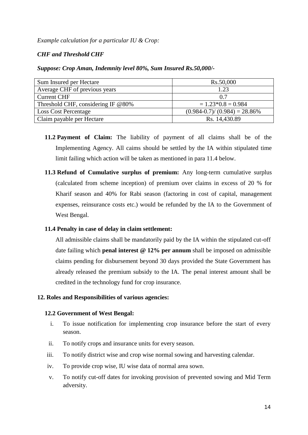#### *Example calculation for a particular IU & Crop:*

# *CHF and Threshold CHF*

#### *Suppose: Crop Aman, Indemnity level 80%, Sum Insured Rs.50,000/-*

| Sum Insured per Hectare               | Rs.50,000                           |
|---------------------------------------|-------------------------------------|
| Average CHF of previous years         | 1.23                                |
| <b>Current CHF</b>                    | 0.7                                 |
| Threshold CHF, considering IF $@80\%$ | $= 1.23 * 0.8 = 0.984$              |
| <b>Loss Cost Percentage</b>           | $(0.984 - 0.7) / (0.984) = 28.86\%$ |
| Claim payable per Hectare             | Rs. 14,430.89                       |

- **11.2 Payment of Claim:** The liability of payment of all claims shall be of the Implementing Agency. All caims should be settled by the IA within stipulated time limit failing which action will be taken as mentioned in para 11.4 below.
- **11.3 Refund of Cumulative surplus of premium:** Any long-term cumulative surplus (calculated from scheme inception) of premium over claims in excess of 20 % for Kharif season and 40% for Rabi season (factoring in cost of capital, management expenses, reinsurance costs etc.) would be refunded by the IA to the Government of West Bengal.

#### **11.4 Penalty in case of delay in claim settlement:**

All admissible claims shall be mandatorily paid by the IA within the stipulated cut-off date failing which **penal interest @ 12% per annum** shall be imposed on admissible claims pending for disbursement beyond 30 days provided the State Government has already released the premium subsidy to the IA. The penal interest amount shall be credited in the technology fund for crop insurance.

#### **12. Roles and Responsibilities of various agencies:**

#### **12.2 Government of West Bengal:**

- i. To issue notification for implementing crop insurance before the start of every season.
- ii. To notify crops and insurance units for every season.
- iii. To notify district wise and crop wise normal sowing and harvesting calendar.
- iv. To provide crop wise, IU wise data of normal area sown.
- v. To notify cut-off dates for invoking provision of prevented sowing and Mid Term adversity.